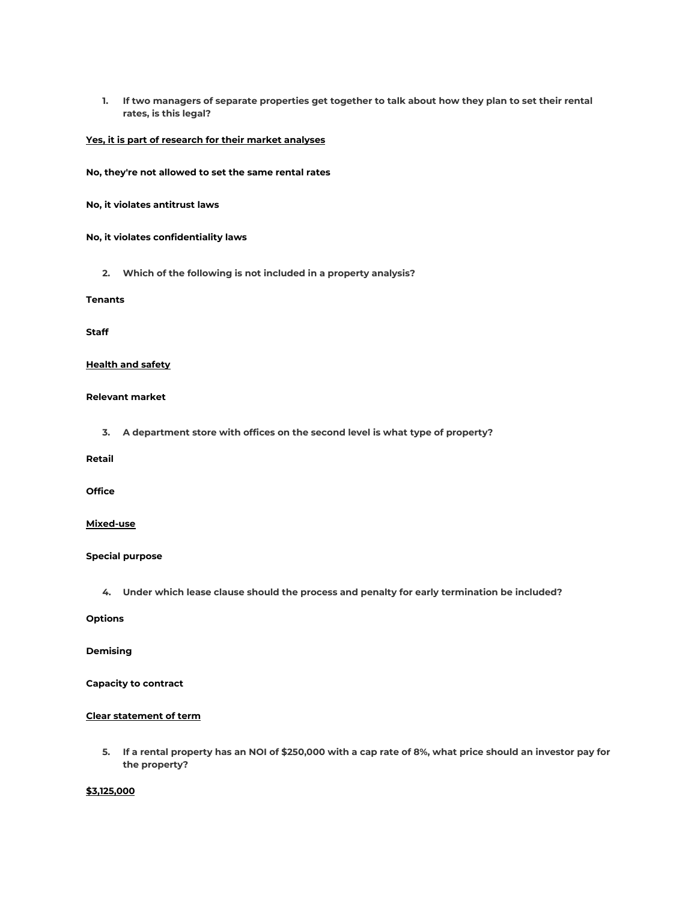1. If two managers of separate properties get together to talk about how they plan to set their rental **rates, is this legal?**

# **Yes, it is part of research for their market analyses**

**No, they're not allowed to set the same rental rates**

**No, it violates antitrust laws**

### **No, it violates confidentiality laws**

**2. Which of the following is not included in a property analysis?**

# **Tenants**

# **Staff**

# **Health and safety**

### **Relevant market**

**3. A department store with offices on the second level is what type of property?**

## **Retail**

# **Office**

### **Mixed-use**

# **Special purpose**

**4. Under which lease clause should the process and penalty for early termination be included?**

# **Options**

# **Demising**

# **Capacity to contract**

# **Clear statement of term**

5. If a rental property has an NOI of \$250,000 with a cap rate of 8%, what price should an investor pay for **the property?**

# **\$3,125,000**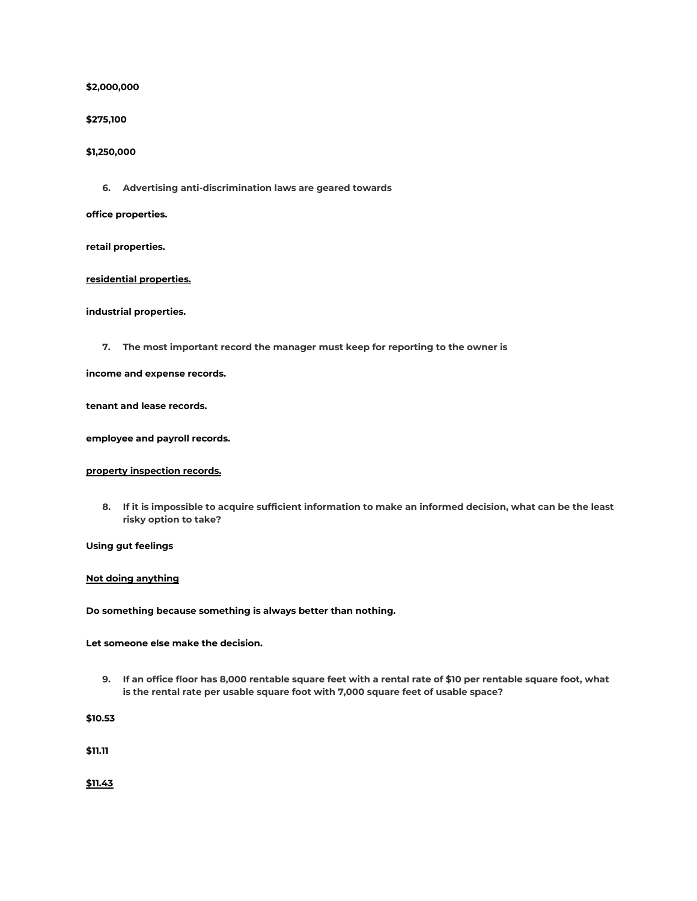## **\$2,000,000**

# **\$275,100**

# **\$1,250,000**

**6. Advertising anti-discrimination laws are geared towards**

# **office properties.**

## **retail properties.**

### **residential properties.**

### **industrial properties.**

**7. The most important record the manager must keep for reporting to the owner is**

## **income and expense records.**

# **tenant and lease records.**

**employee and payroll records.**

#### **property inspection records.**

8. If it is impossible to acquire sufficient information to make an informed decision, what can be the least **risky option to take?**

# **Using gut feelings**

### **Not doing anything**

### **Do something because something is always better than nothing.**

### **Let someone else make the decision.**

9. If an office floor has 8,000 rentable square feet with a rental rate of \$10 per rentable square foot, what **is the rental rate per usable square foot with 7,000 square feet of usable space?**

**\$10.53**

**\$11.11**

**\$11.43**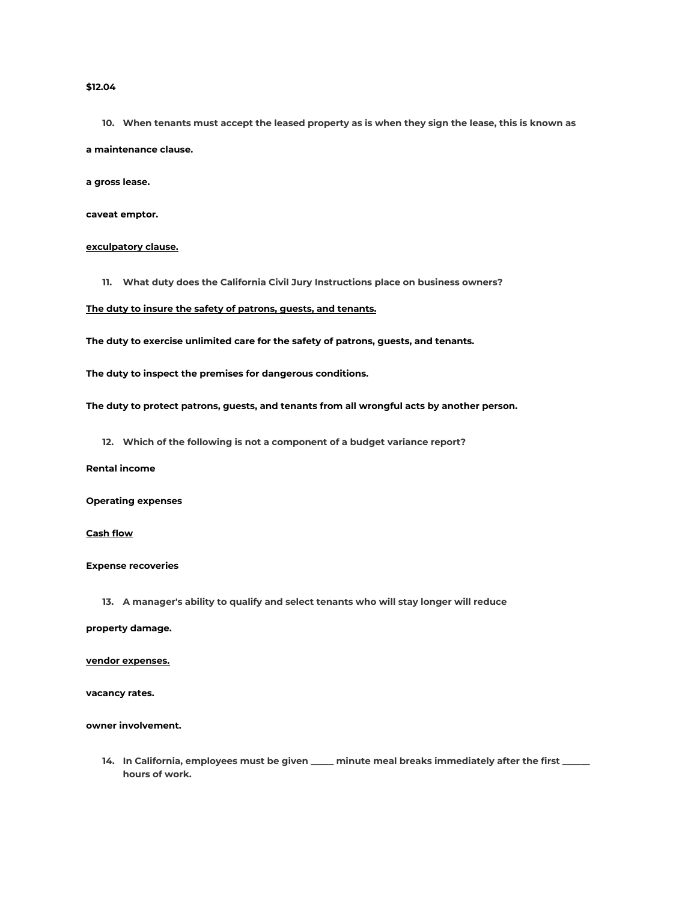## **\$12.04**

10. When tenants must accept the leased property as is when they sign the lease, this is known as **a maintenance clause.**

**a gross lease.**

**caveat emptor.**

## **exculpatory clause.**

**11. What duty does the California Civil Jury Instructions place on business owners?**

**The duty to insure the safety of patrons, guests, and tenants.**

**The duty to exercise unlimited care for the safety of patrons, guests, and tenants.**

**The duty to inspect the premises for dangerous conditions.**

**The duty to protect patrons, guests, and tenants from all wrongful acts by another person.**

**12. Which of the following is not a component of a budget variance report?**

## **Rental income**

#### **Operating expenses**

## **Cash flow**

### **Expense recoveries**

**13. A manager's ability to qualify and select tenants who will stay longer will reduce**

#### **property damage.**

### **vendor expenses.**

#### **vacancy rates.**

# **owner involvement.**

**14. In California, employees must be given \_\_\_\_\_ minute meal breaks immediately after the first \_\_\_\_\_\_ hours of work.**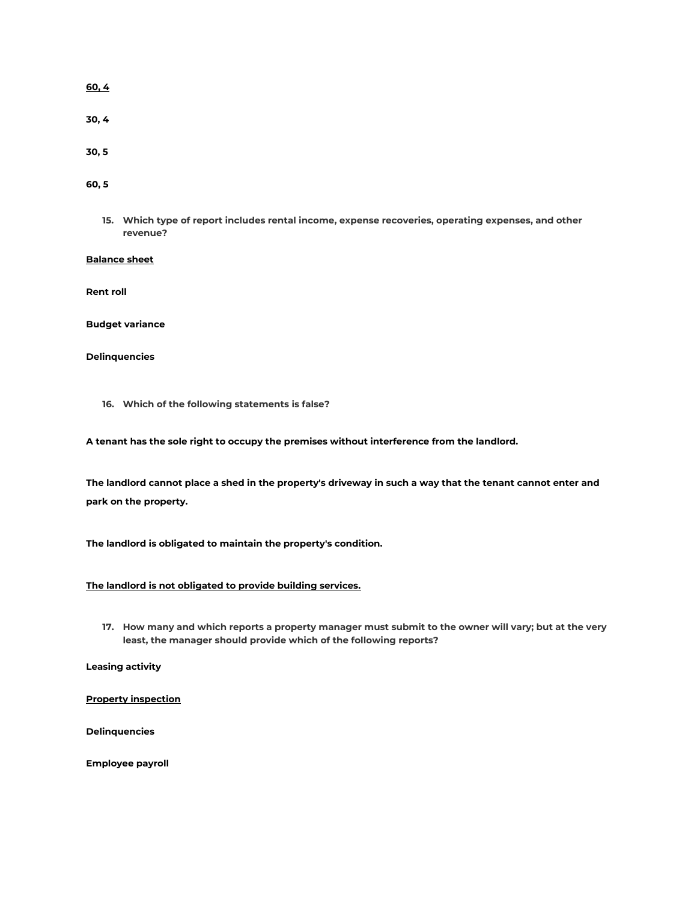**60, 4**

**30, 4**

**30, 5**

**60, 5**

**15. Which type of report includes rental income, expense recoveries, operating expenses, and other revenue?**

# **Balance sheet**

**Rent roll**

**Budget variance**

**Delinquencies**

**16. Which of the following statements is false?**

**A tenant has the sole right to occupy the premises without interference from the landlord.**

The landlord cannot place a shed in the property's driveway in such a way that the tenant cannot enter and **park on the property.**

**The landlord is obligated to maintain the property's condition.**

### **The landlord is not obligated to provide building services.**

17. How many and which reports a property manager must submit to the owner will vary; but at the very **least, the manager should provide which of the following reports?**

**Leasing activity**

**Property inspection**

**Delinquencies**

**Employee payroll**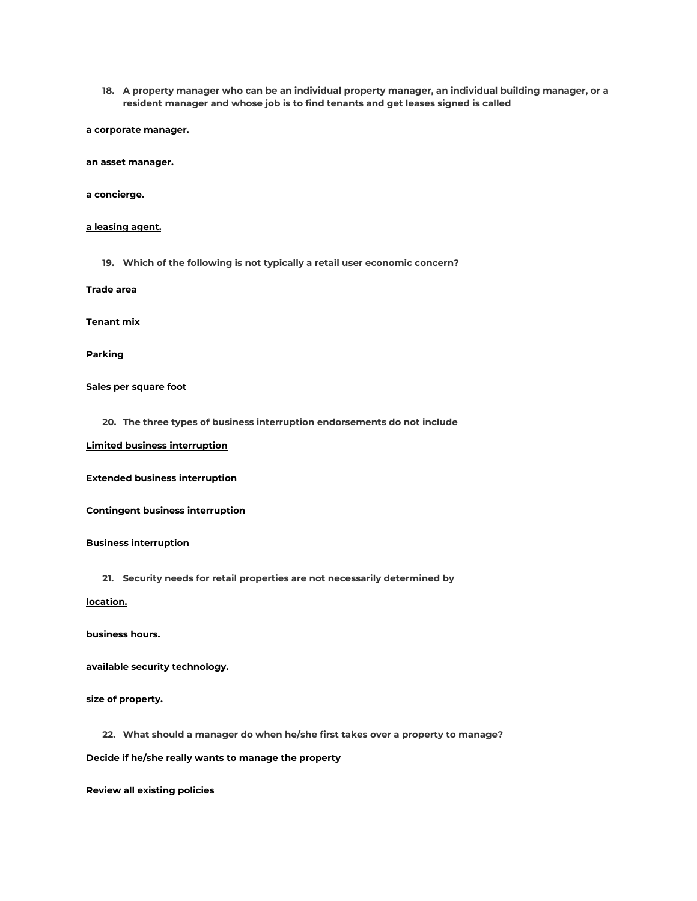**18. A property manager who can be an individual property manager, an individual building manager, or a resident manager and whose job is to find tenants and get leases signed is called**

# **a corporate manager.**

**an asset manager.**

#### **a concierge.**

#### **a leasing agent.**

**19. Which of the following is not typically a retail user economic concern?**

# **Trade area**

**Tenant mix**

#### **Parking**

## **Sales per square foot**

**20. The three types of business interruption endorsements do not include**

**Limited business interruption**

**Extended business interruption**

**Contingent business interruption**

### **Business interruption**

**21. Security needs for retail properties are not necessarily determined by**

**location.**

**business hours.**

**available security technology.**

**size of property.**

**22. What should a manager do when he/she first takes over a property to manage?**

## **Decide if he/she really wants to manage the property**

**Review all existing policies**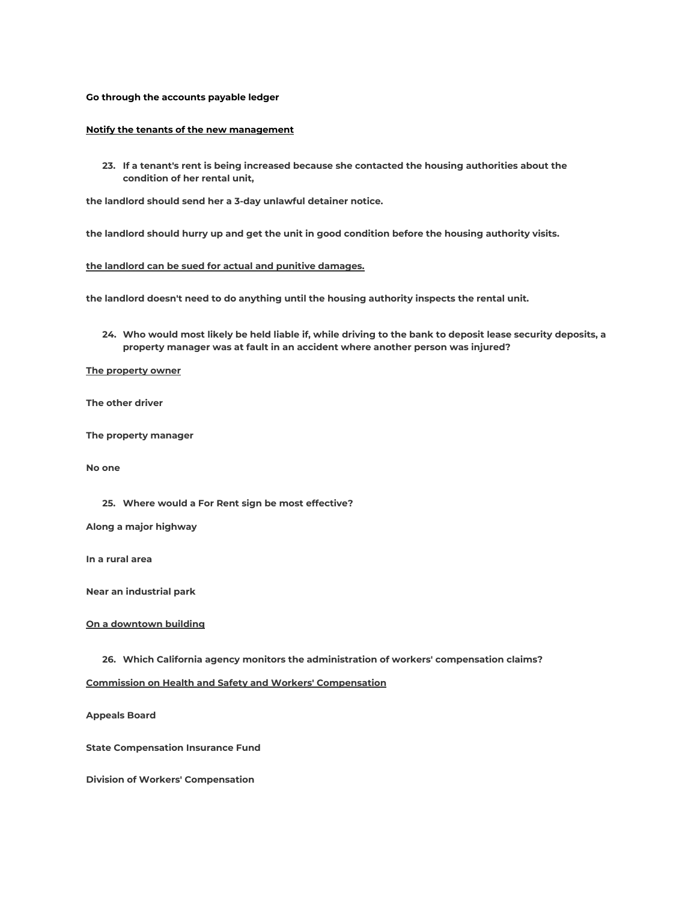### **Go through the accounts payable ledger**

# **Notify the tenants of the new management**

**23. If a tenant's rent is being increased because she contacted the housing authorities about the condition of her rental unit,**

**the landlord should send her a 3-day unlawful detainer notice.**

**the landlord should hurry up and get the unit in good condition before the housing authority visits.**

**the landlord can be sued for actual and punitive damages.**

**the landlord doesn't need to do anything until the housing authority inspects the rental unit.**

24. Who would most likely be held liable if, while driving to the bank to deposit lease security deposits, a **property manager was at fault in an accident where another person was injured?**

**The property owner**

**The other driver**

**The property manager**

**No one**

**25. Where would a For Rent sign be most effective?**

**Along a major highway**

**In a rural area**

**Near an industrial park**

## **On a downtown building**

**26. Which California agency monitors the administration of workers' compensation claims?**

**Commission on Health and Safety and Workers' Compensation**

**Appeals Board**

**State Compensation Insurance Fund**

**Division of Workers' Compensation**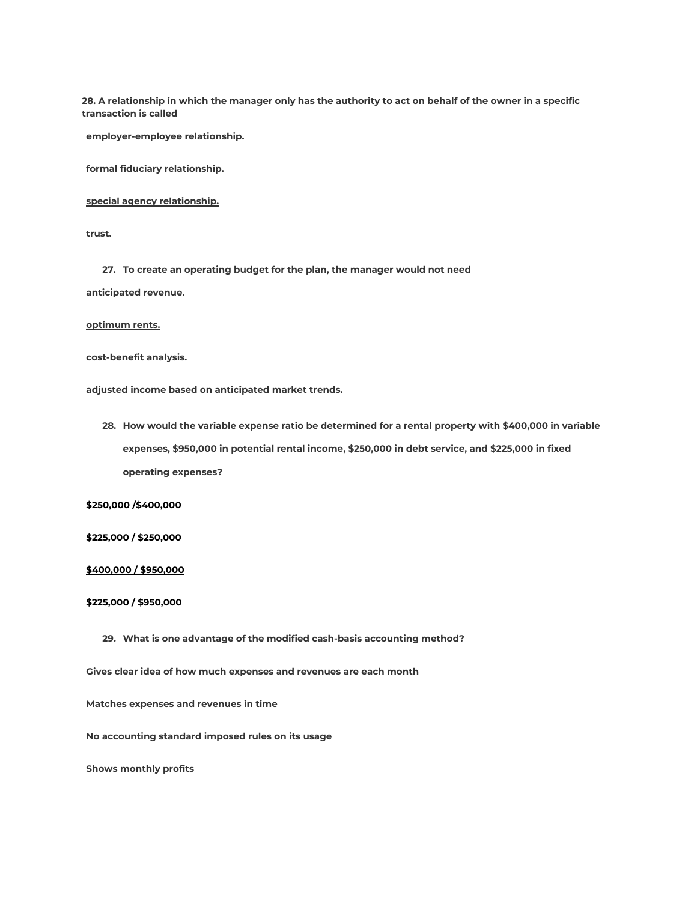28. A relationship in which the manager only has the authority to act on behalf of the owner in a specific **transaction is called**

**employer-employee relationship.**

**formal fiduciary relationship.**

**special agency relationship.**

**trust.**

**27. To create an operating budget for the plan, the manager would not need**

**anticipated revenue.**

**optimum rents.**

**cost-benefit analysis.**

**adjusted income based on anticipated market trends.**

**28. How would the variable expense ratio be determined for a rental property with \$400,000 in variable expenses, \$950,000 in potential rental income, \$250,000 in debt service, and \$225,000 in fixed operating expenses?**

**\$250,000 /\$400,000**

**\$225,000 / \$250,000**

## **\$400,000 / \$950,000**

# **\$225,000 / \$950,000**

**29. What is one advantage of the modified cash-basis accounting method?**

**Gives clear idea of how much expenses and revenues are each month**

**Matches expenses and revenues in time**

**No accounting standard imposed rules on its usage**

**Shows monthly profits**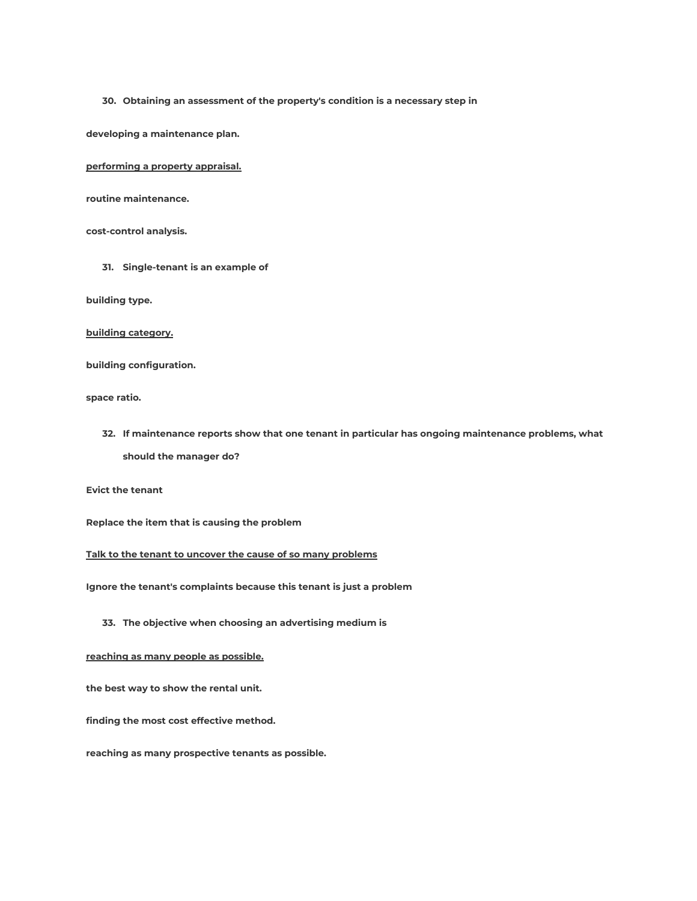**30. Obtaining an assessment of the property's condition is a necessary step in**

**developing a maintenance plan.**

**performing a property appraisal.**

**routine maintenance.**

**cost-control analysis.**

**31. Single-tenant is an example of**

**building type.**

**building category.**

**building configuration.**

**space ratio.**

**32. If maintenance reports show that one tenant in particular has ongoing maintenance problems, what should the manager do?**

**Evict the tenant**

**Replace the item that is causing the problem**

### **Talk to the tenant to uncover the cause of so many problems**

**Ignore the tenant's complaints because this tenant is just a problem**

**33. The objective when choosing an advertising medium is**

**reaching as many people as possible.**

**the best way to show the rental unit.**

**finding the most cost effective method.**

**reaching as many prospective tenants as possible.**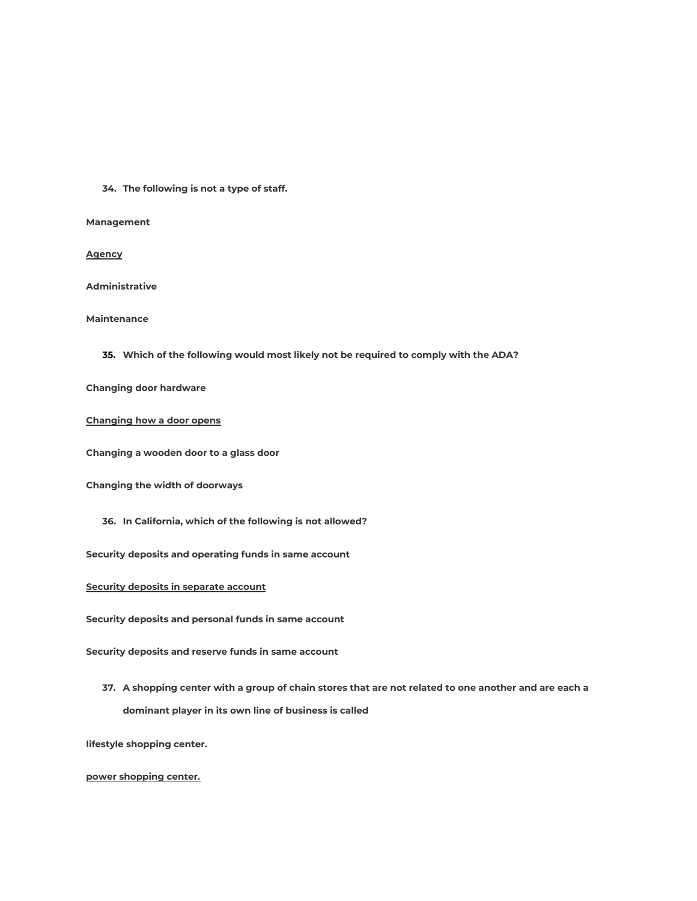**34. The following is not a type of staff.**

**Management**

**Agency**

**Administrative**

**Maintenance**

**35. Which of the following would most likely not be required to comply with the ADA?**

**Changing door hardware**

**Changing how a door opens**

**Changing a wooden door to a glass door**

**Changing the width of doorways**

**36. In California, which of the following is not allowed?**

**Security deposits and operating funds in same account**

**Security deposits in separate account**

**Security deposits and personal funds in same account**

**Security deposits and reserve funds in same account**

37. A shopping center with a group of chain stores that are not related to one another and are each a **dominant player in its own line of business is called**

**lifestyle shopping center.**

**power shopping center.**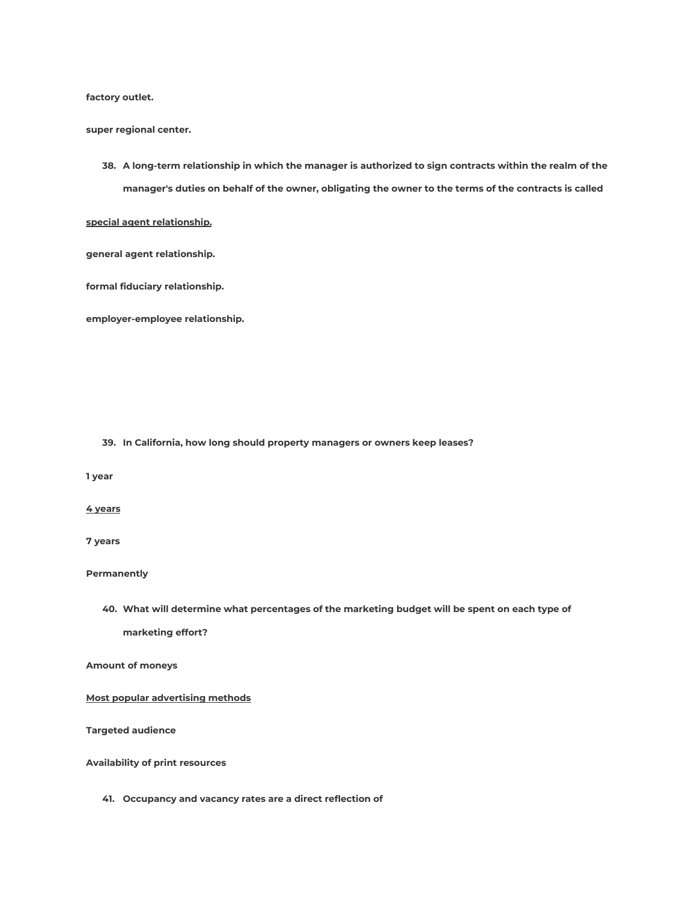**factory outlet.**

**super regional center.**

38. A long-term relationship in which the manager is authorized to sign contracts within the realm of the manager's duties on behalf of the owner, obligating the owner to the terms of the contracts is called

**special agent relationship.**

**general agent relationship.**

**formal fiduciary relationship.**

**employer-employee relationship.**

**39. In California, how long should property managers or owners keep leases?**

**1 year**

**4 years**

**7 years**

**Permanently**

**40. What will determine what percentages of the marketing budget will be spent on each type of**

**marketing effort?**

**Amount of moneys**

**Most popular advertising methods**

**Targeted audience**

**Availability of print resources**

**41. Occupancy and vacancy rates are a direct reflection of**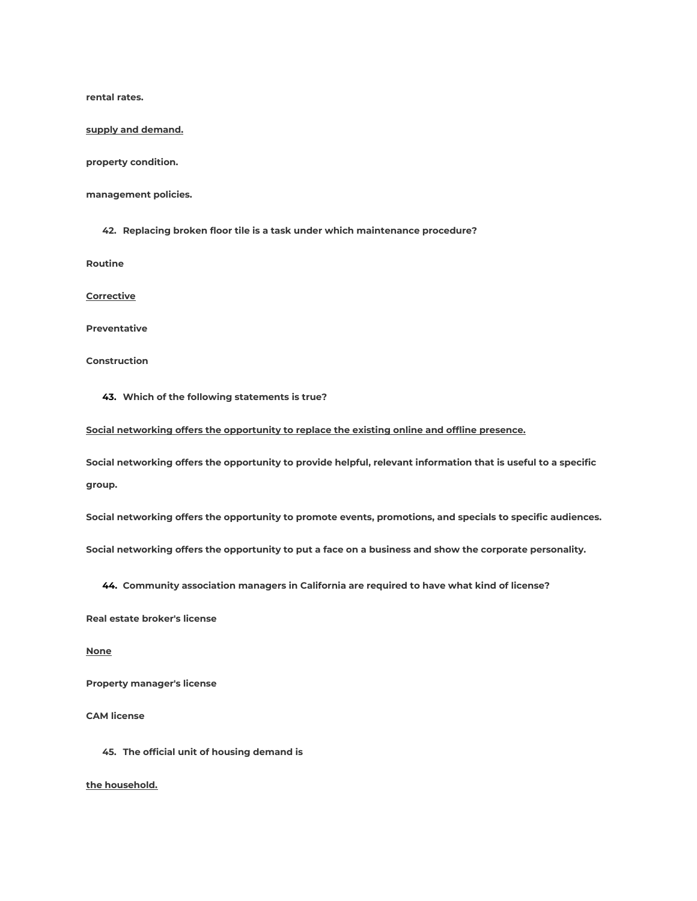**rental rates.**

**supply and demand.**

**property condition.**

**management policies.**

**42. Replacing broken floor tile is a task under which maintenance procedure?**

**Routine**

**Corrective**

**Preventative**

**Construction**

**43. Which of the following statements is true?**

**Social networking offers the opportunity to replace the existing online and offline presence.**

**Social networking offers the opportunity to provide helpful, relevant information that is useful to a specific group.**

**Social networking offers the opportunity to promote events, promotions, and specials to specific audiences.**

**Social networking offers the opportunity to put a face on a business and show the corporate personality.**

**44. Community association managers in California are required to have what kind of license?**

**Real estate broker's license**

**None**

**Property manager's license**

**CAM license**

**45. The official unit of housing demand is**

**the household.**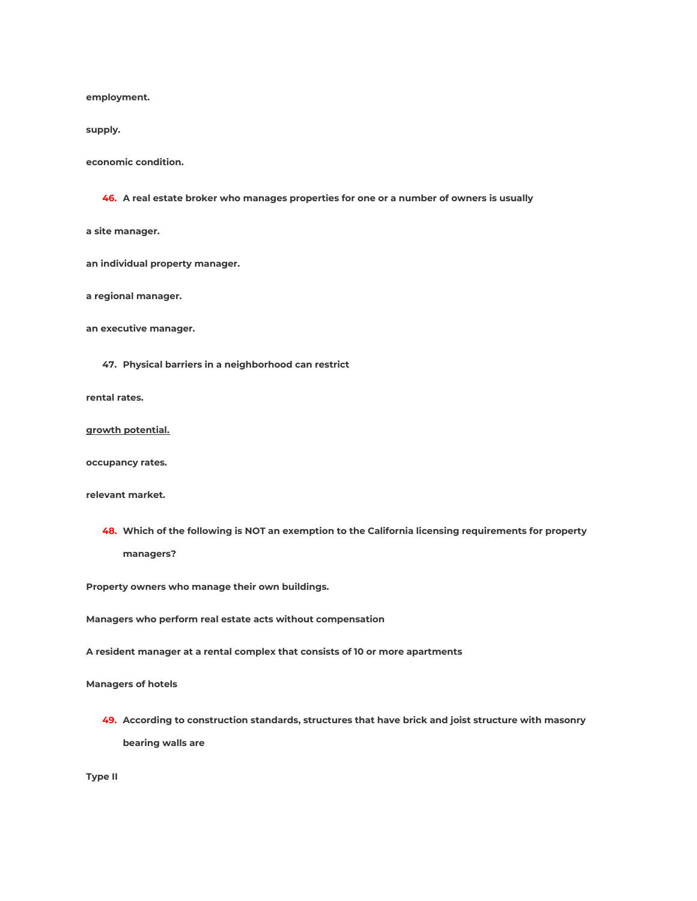**employment.**

**supply.**

**economic condition.**

**46. A real estate broker who manages properties for one or a number of owners is usually**

**a site manager.**

**an individual property manager.**

**a regional manager.**

**an executive manager.**

**47. Physical barriers in a neighborhood can restrict**

**rental rates.**

**growth potential.**

**occupancy rates.**

**relevant market.**

**48. Which of the following is NOT an exemption to the California licensing requirements for property managers?**

**Property owners who manage their own buildings.**

**Managers who perform real estate acts without compensation**

**A resident manager at a rental complex that consists of 10 or more apartments**

**Managers of hotels**

**49. According to construction standards, structures that have brick and joist structure with masonry bearing walls are**

**Type II**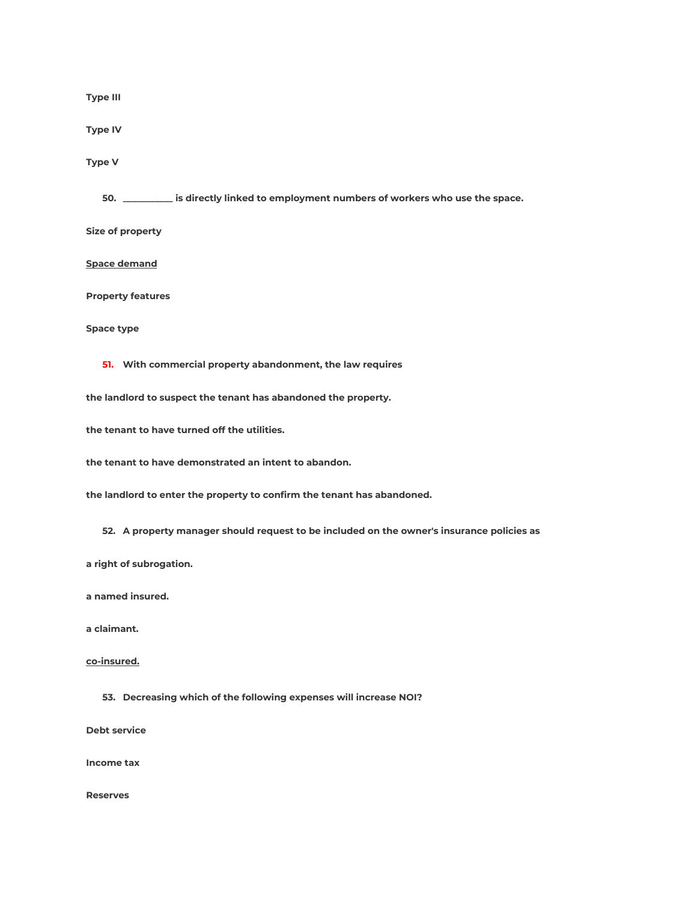**Type III**

**Type IV**

**Type V**

**50. \_\_\_\_\_\_\_\_\_\_\_ is directly linked to employment numbers of workers who use the space.**

**Size of property**

**Space demand**

**Property features**

**Space type**

**51. With commercial property abandonment, the law requires**

**the landlord to suspect the tenant has abandoned the property.**

**the tenant to have turned off the utilities.**

**the tenant to have demonstrated an intent to abandon.**

**the landlord to enter the property to confirm the tenant has abandoned.**

**52. A property manager should request to be included on the owner's insurance policies as**

**a right of subrogation.**

**a named insured.**

**a claimant.**

**co-insured.**

**53. Decreasing which of the following expenses will increase NOI?**

**Debt service**

**Income tax**

**Reserves**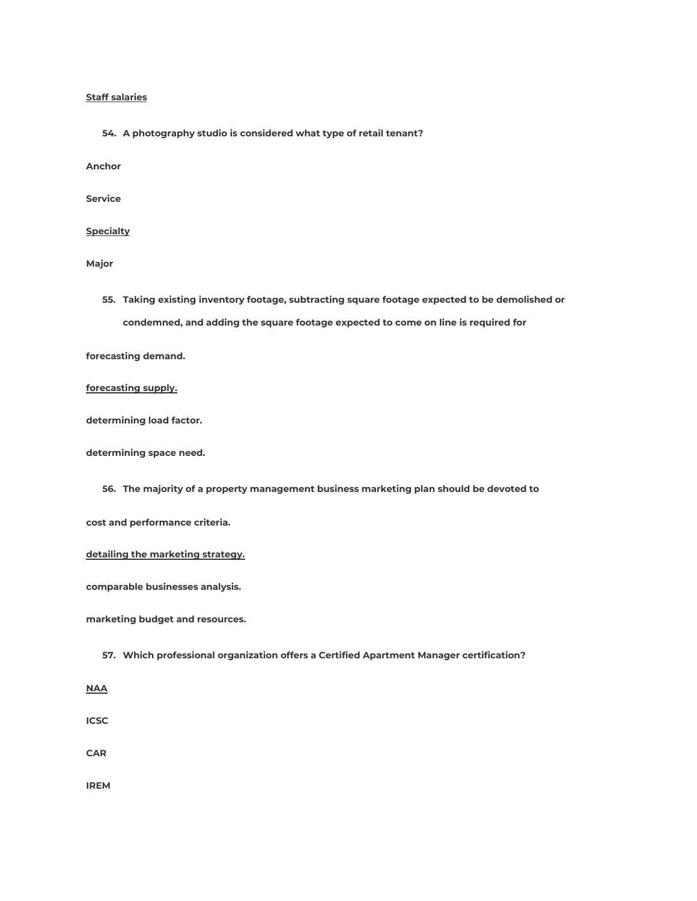# **Staff salaries**

**54. A photography studio is considered what type of retail tenant?**

**Anchor**

**Service**

## **Specialty**

**Major**

**55. Taking existing inventory footage, subtracting square footage expected to be demolished or condemned, and adding the square footage expected to come on line is required for**

**forecasting demand.**

**forecasting supply.**

**determining load factor.**

**determining space need.**

**56. The majority of a property management business marketing plan should be devoted to**

**cost and performance criteria.**

# **detailing the marketing strategy.**

**comparable businesses analysis.**

**marketing budget and resources.**

**57. Which professional organization offers a Certified Apartment Manager certification?**

**NAA**

**ICSC**

**CAR**

**IREM**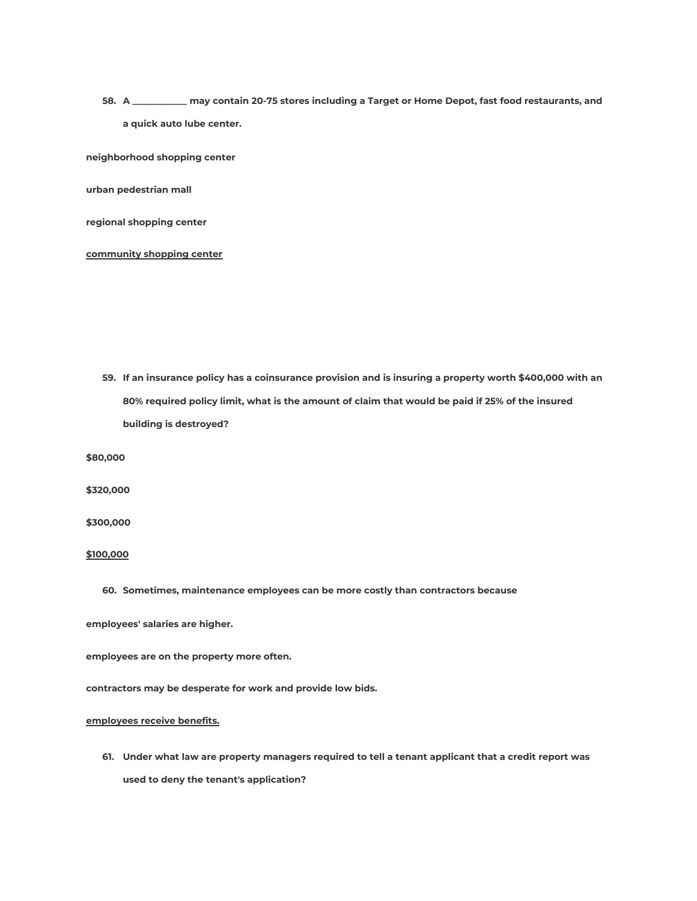**58. A \_\_\_\_\_\_\_\_\_\_\_\_ may contain 20-75 stores including a Target or Home Depot, fast food restaurants, and a quick auto lube center.**

**neighborhood shopping center**

**urban pedestrian mall**

**regional shopping center**

**community shopping center**

59. If an insurance policy has a coinsurance provision and is insuring a property worth \$400,000 with an 80% required policy limit, what is the amount of claim that would be paid if 25% of the insured **building is destroyed?**

**\$80,000**

**\$320,000**

**\$300,000**

**\$100,000**

**60. Sometimes, maintenance employees can be more costly than contractors because**

**employees' salaries are higher.**

**employees are on the property more often.**

**contractors may be desperate for work and provide low bids.**

# **employees receive benefits.**

61. Under what law are property managers required to tell a tenant applicant that a credit report was **used to deny the tenant's application?**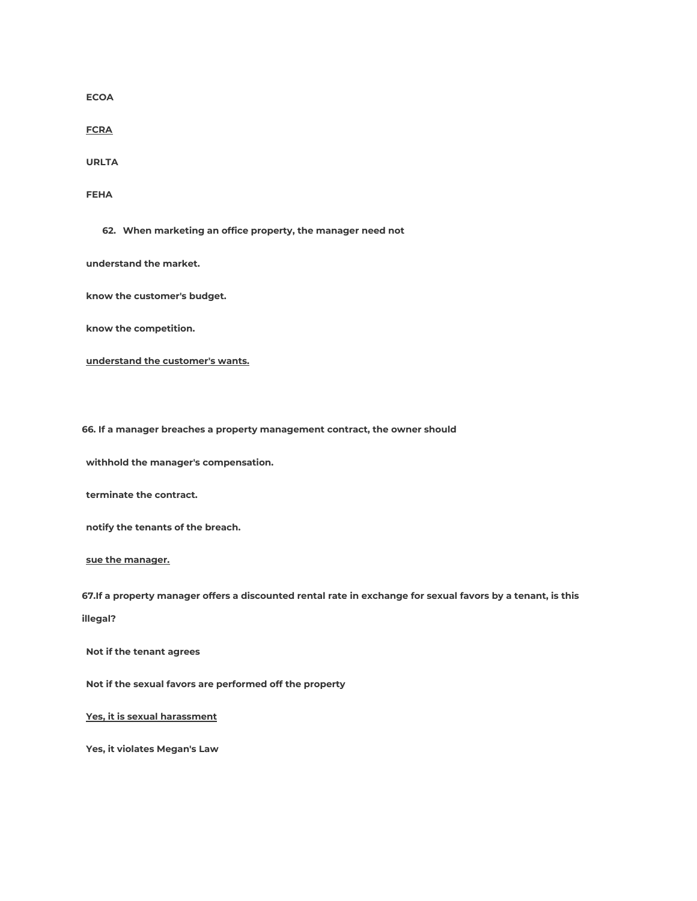**ECOA**

**FCRA**

**URLTA**

**FEHA**

**62. When marketing an office property, the manager need not**

**understand the market.**

**know the customer's budget.**

**know the competition.**

**understand the customer's wants.**

**66. If a manager breaches a property management contract, the owner should**

**withhold the manager's compensation.**

**terminate the contract.**

**notify the tenants of the breach.**

**sue the manager.**

67. If a property manager offers a discounted rental rate in exchange for sexual favors by a tenant, is this **illegal?**

**Not if the tenant agrees**

**Not if the sexual favors are performed off the property**

**Yes, it is sexual harassment**

**Yes, it violates Megan's Law**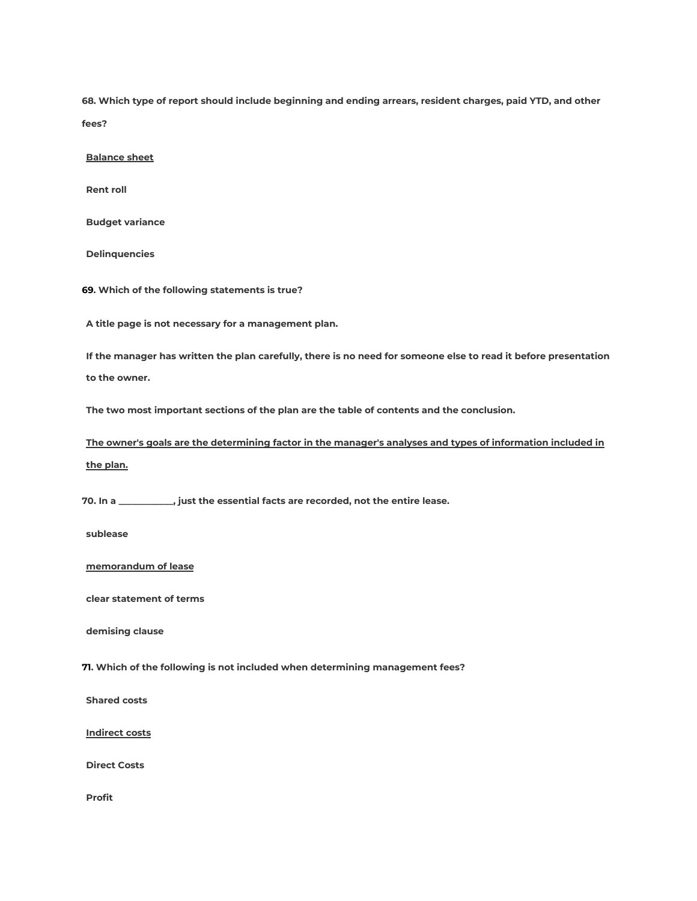68. Which type of report should include beginning and ending arrears, resident charges, paid YTD, and other **fees?**

**Balance sheet**

**Rent roll**

**Budget variance**

**Delinquencies**

**69. Which of the following statements is true?**

**A title page is not necessary for a management plan.**

If the manager has written the plan carefully, there is no need for someone else to read it before presentation **to the owner.**

**The two most important sections of the plan are the table of contents and the conclusion.**

The owner's goals are the determining factor in the manager's analyses and types of information included in **the plan.**

**70. In a \_\_\_\_\_\_\_\_\_\_\_\_, just the essential facts are recorded, not the entire lease.**

**sublease**

**memorandum of lease**

**clear statement of terms**

**demising clause**

**71. Which of the following is not included when determining management fees?**

**Shared costs**

**Indirect costs**

**Direct Costs**

**Profit**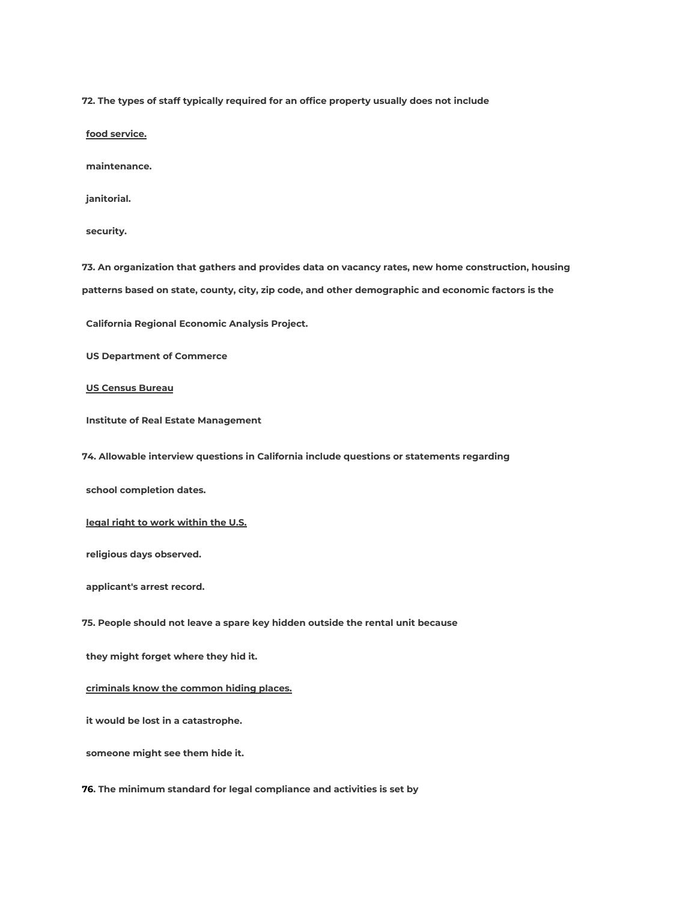**72. The types of staff typically required for an office property usually does not include**

**food service.**

**maintenance.**

**janitorial.**

**security.**

**73. An organization that gathers and provides data on vacancy rates, new home construction, housing patterns based on state, county, city, zip code, and other demographic and economic factors is the**

**California Regional Economic Analysis Project.**

**US Department of Commerce**

**US Census Bureau**

**Institute of Real Estate Management**

**74. Allowable interview questions in California include questions or statements regarding**

**school completion dates.**

**legal right to work within the U.S.**

**religious days observed.**

**applicant's arrest record.**

**75. People should not leave a spare key hidden outside the rental unit because**

**they might forget where they hid it.**

**criminals know the common hiding places.**

**it would be lost in a catastrophe.**

**someone might see them hide it.**

**76. The minimum standard for legal compliance and activities is set by**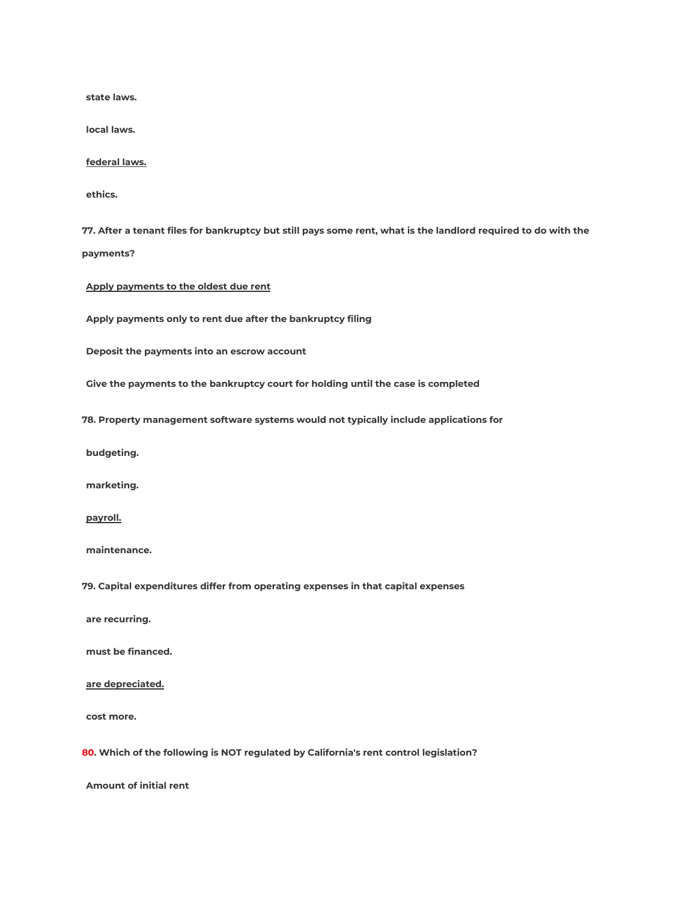**state laws.**

**local laws.**

**federal laws.**

**ethics.**

77. After a tenant files for bankruptcy but still pays some rent, what is the landlord required to do with the **payments?**

**Apply payments to the oldest due rent**

**Apply payments only to rent due after the bankruptcy filing**

**Deposit the payments into an escrow account**

**Give the payments to the bankruptcy court for holding until the case is completed**

**78. Property management software systems would not typically include applications for**

**budgeting.**

**marketing.**

**payroll.**

**maintenance.**

**79. Capital expenditures differ from operating expenses in that capital expenses**

**are recurring.**

**must be financed.**

**are depreciated.**

**cost more.**

**80. Which of the following is NOT regulated by California's rent control legislation?**

**Amount of initial rent**